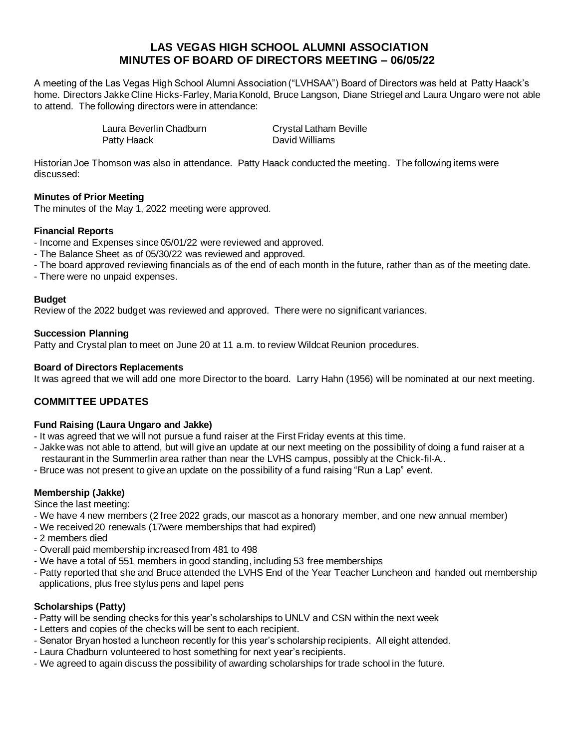# **LAS VEGAS HIGH SCHOOL ALUMNI ASSOCIATION MINUTES OF BOARD OF DIRECTORS MEETING – 06/05/22**

A meeting of the Las Vegas High School Alumni Association ("LVHSAA") Board of Directors was held at Patty Haack's home. Directors Jakke Cline Hicks-Farley, Maria Konold, Bruce Langson, Diane Striegel and Laura Ungaro were not able to attend. The following directors were in attendance:

| Laura Beverlin Chadburn | <b>Crystal Latham Beville</b> |
|-------------------------|-------------------------------|
| Patty Haack             | David Williams                |

Historian Joe Thomson was also in attendance. Patty Haack conducted the meeting. The following items were discussed:

# **Minutes of Prior Meeting**

The minutes of the May 1, 2022 meeting were approved.

# **Financial Reports**

- Income and Expenses since 05/01/22 were reviewed and approved.
- The Balance Sheet as of 05/30/22 was reviewed and approved.
- The board approved reviewing financials as of the end of each month in the future, rather than as of the meeting date.
- There were no unpaid expenses.

# **Budget**

Review of the 2022 budget was reviewed and approved. There were no significant variances.

# **Succession Planning**

Patty and Crystal plan to meet on June 20 at 11 a.m. to review Wildcat Reunion procedures.

# **Board of Directors Replacements**

It was agreed that we will add one more Director to the board. Larry Hahn (1956) will be nominated at our next meeting.

# **COMMITTEE UPDATES**

# **Fund Raising (Laura Ungaro and Jakke)**

- It was agreed that we will not pursue a fund raiser at the First Friday events at this time.
- Jakke was not able to attend, but will give an update at our next meeting on the possibility of doing a fund raiser at a restaurant in the Summerlin area rather than near the LVHS campus, possibly at the Chick-fil-A..
- Bruce was not present to give an update on the possibility of a fund raising "Run a Lap" event.

# **Membership (Jakke)**

Since the last meeting:

- We have 4 new members (2 free 2022 grads, our mascot as a honorary member, and one new annual member)
- We received 20 renewals (17were memberships that had expired)
- 2 members died
- Overall paid membership increased from 481 to 498
- We have a total of 551 members in good standing, including 53 free memberships
- Patty reported that she and Bruce attended the LVHS End of the Year Teacher Luncheon and handed out membership applications, plus free stylus pens and lapel pens

# **Scholarships (Patty)**

- Patty will be sending checks for this year's scholarships to UNLV and CSN within the next week
- Letters and copies of the checks will be sent to each recipient.
- Senator Bryan hosted a luncheon recently for this year's scholarship recipients. All eight attended.
- Laura Chadburn volunteered to host something for next year's recipients.
- We agreed to again discuss the possibility of awarding scholarships for trade school in the future.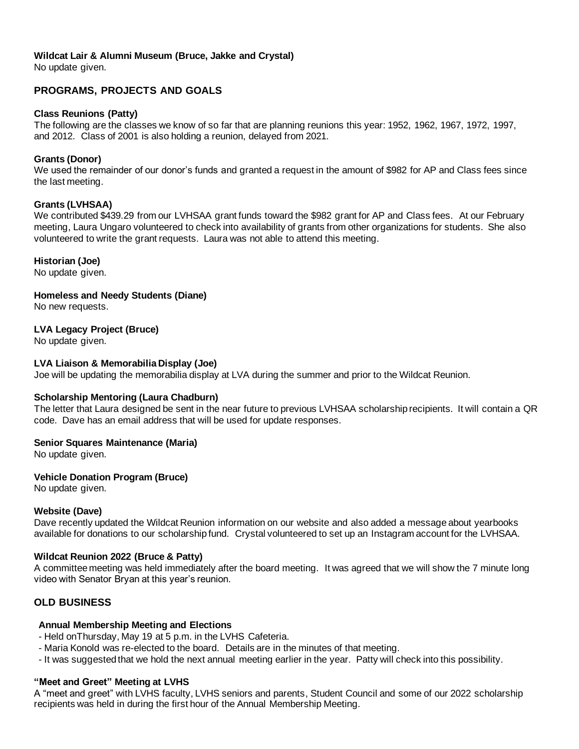# **Wildcat Lair & Alumni Museum (Bruce, Jakke and Crystal)**

No update given.

# **PROGRAMS, PROJECTS AND GOALS**

#### **Class Reunions (Patty)**

The following are the classes we know of so far that are planning reunions this year: 1952, 1962, 1967, 1972, 1997, and 2012. Class of 2001 is also holding a reunion, delayed from 2021.

#### **Grants (Donor)**

We used the remainder of our donor's funds and granted a request in the amount of \$982 for AP and Class fees since the last meeting.

#### **Grants (LVHSAA)**

We contributed \$439.29 from our LVHSAA grant funds toward the \$982 grant for AP and Class fees. At our February meeting, Laura Ungaro volunteered to check into availability of grants from other organizations for students. She also volunteered to write the grant requests. Laura was not able to attend this meeting.

#### **Historian (Joe)**

No update given.

# **Homeless and Needy Students (Diane)**

No new requests.

# **LVA Legacy Project (Bruce)**

No update given.

#### **LVA Liaison & Memorabilia Display (Joe)**

Joe will be updating the memorabilia display at LVA during the summer and prior to the Wildcat Reunion.

# **Scholarship Mentoring (Laura Chadburn)**

The letter that Laura designed be sent in the near future to previous LVHSAA scholarship recipients. It will contain a QR code. Dave has an email address that will be used for update responses.

#### **Senior Squares Maintenance (Maria)**

No update given.

# **Vehicle Donation Program (Bruce)**

No update given.

#### **Website (Dave)**

Dave recently updated the Wildcat Reunion information on our website and also added a message about yearbooks available for donations to our scholarship fund. Crystal volunteered to set up an Instagram account for the LVHSAA.

#### **Wildcat Reunion 2022 (Bruce & Patty)**

A committee meeting was held immediately after the board meeting. It was agreed that we will show the 7 minute long video with Senator Bryan at this year's reunion.

# **OLD BUSINESS**

#### **Annual Membership Meeting and Elections**

- Held onThursday, May 19 at 5 p.m. in the LVHS Cafeteria.
- Maria Konold was re-elected to the board. Details are in the minutes of that meeting.
- It was suggested that we hold the next annual meeting earlier in the year. Patty will check into this possibility.

# **"Meet and Greet" Meeting at LVHS**

A "meet and greet" with LVHS faculty, LVHS seniors and parents, Student Council and some of our 2022 scholarship recipients was held in during the first hour of the Annual Membership Meeting.